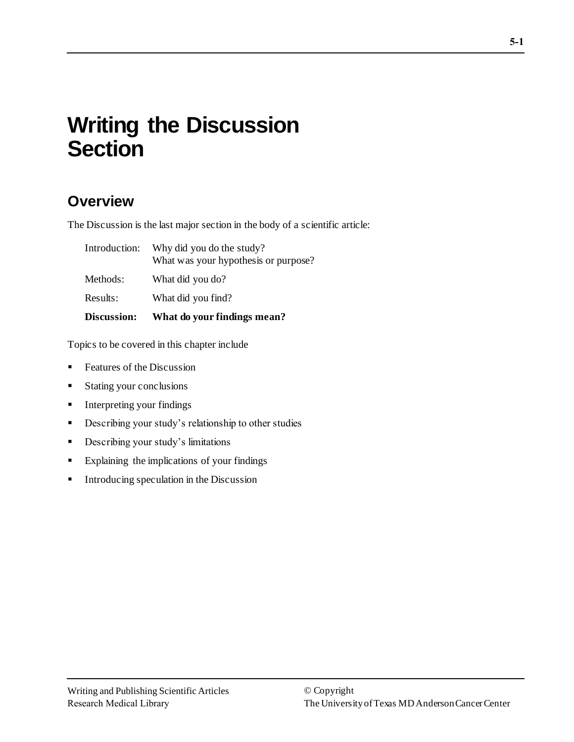# **Writing the Discussion Section**

## **Overview**

The Discussion is the last major section in the body of a scientific article:

| Discussion:   | What do your findings mean?                                       |
|---------------|-------------------------------------------------------------------|
| Results:      | What did you find?                                                |
| Methods:      | What did you do?                                                  |
| Introduction: | Why did you do the study?<br>What was your hypothesis or purpose? |

Topics to be covered in this chapter include

- Features of the Discussion
- Stating your conclusions
- **•** Interpreting your findings
- **•** Describing your study's relationship to other studies
- **•** Describing your study's limitations
- Explaining the implications of your findings
- Introducing speculation in the Discussion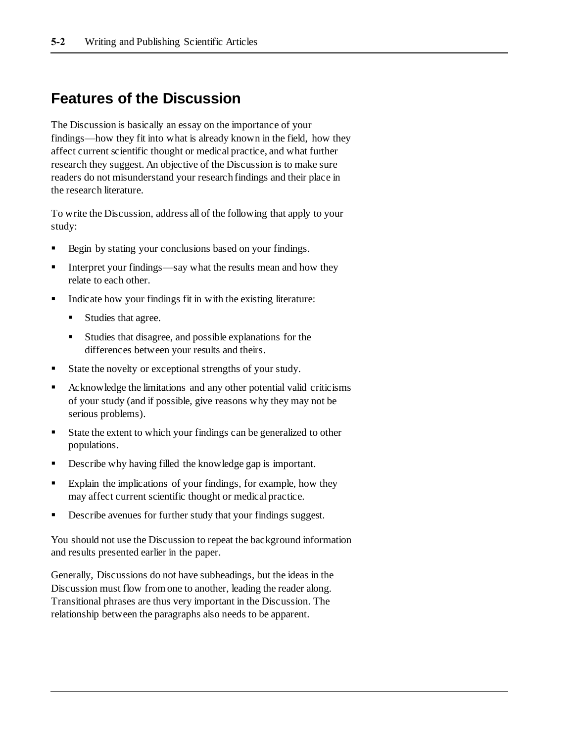## **Features of the Discussion**

The Discussion is basically an essay on the importance of your findings—how they fit into what is already known in the field, how they affect current scientific thought or medical practice, and what further research they suggest. An objective of the Discussion is to make sure readers do not misunderstand your research findings and their place in the research literature.

To write the Discussion, address all of the following that apply to your study:

- Begin by stating your conclusions based on your findings.
- **•** Interpret your findings—say what the results mean and how they relate to each other.
- Indicate how your findings fit in with the existing literature:
	- Studies that agree.
	- Studies that disagree, and possible explanations for the differences between your results and theirs.
- State the novelty or exceptional strengths of your study.
- Acknowledge the limitations and any other potential valid criticisms of your study (and if possible, give reasons why they may not be serious problems).
- State the extent to which your findings can be generalized to other populations.
- Describe why having filled the knowledge gap is important.
- Explain the implications of your findings, for example, how they may affect current scientific thought or medical practice.
- Describe avenues for further study that your findings suggest.

You should not use the Discussion to repeat the background information and results presented earlier in the paper.

Generally, Discussions do not have subheadings, but the ideas in the Discussion must flow from one to another, leading the reader along. Transitional phrases are thus very important in the Discussion. The relationship between the paragraphs also needs to be apparent.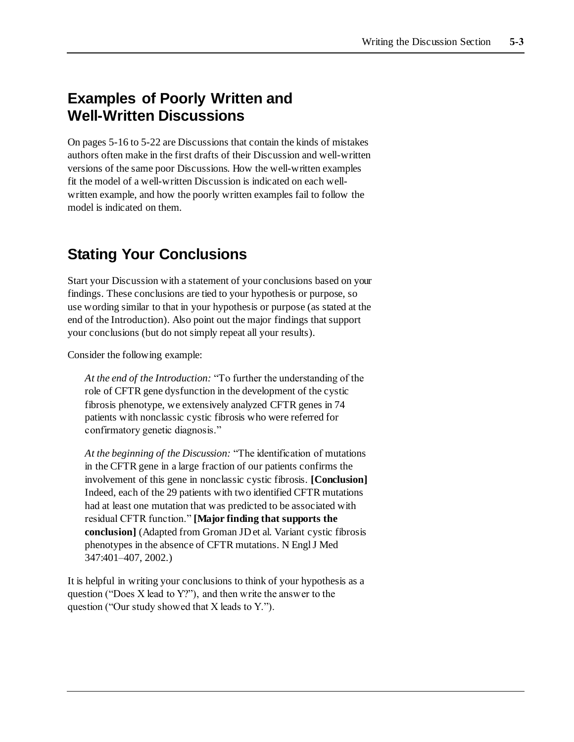### **Examples of Poorly Written and Well-Written Discussions**

On pages 5-16 to 5-22 are Discussions that contain the kinds of mistakes authors often make in the first drafts of their Discussion and well-written versions of the same poor Discussions. How the well-written examples fit the model of a well-written Discussion is indicated on each wellwritten example, and how the poorly written examples fail to follow the model is indicated on them.

### **Stating Your Conclusions**

Start your Discussion with a statement of your conclusions based on your findings. These conclusions are tied to your hypothesis or purpose, so use wording similar to that in your hypothesis or purpose (as stated at the end of the Introduction). Also point out the major findings that support your conclusions (but do not simply repeat all your results).

Consider the following example:

*At the end of the Introduction:* "To further the understanding of the role of CFTR gene dysfunction in the development of the cystic fibrosis phenotype, we extensively analyzed CFTR genes in 74 patients with nonclassic cystic fibrosis who were referred for confirmatory genetic diagnosis."

*At the beginning of the Discussion:* "The identification of mutations in the CFTR gene in a large fraction of our patients confirms the involvement of this gene in nonclassic cystic fibrosis. **[Conclusion]**  Indeed, each of the 29 patients with two identified CFTR mutations had at least one mutation that was predicted to be associated with residual CFTR function." **[Major finding that supports the conclusion]** (Adapted from Groman JD et al. Variant cystic fibrosis phenotypes in the absence of CFTR mutations. N Engl J Med 347:401–407, 2002.)

It is helpful in writing your conclusions to think of your hypothesis as a question ("Does X lead to Y?"), and then write the answer to the question ("Our study showed that X leads to Y.").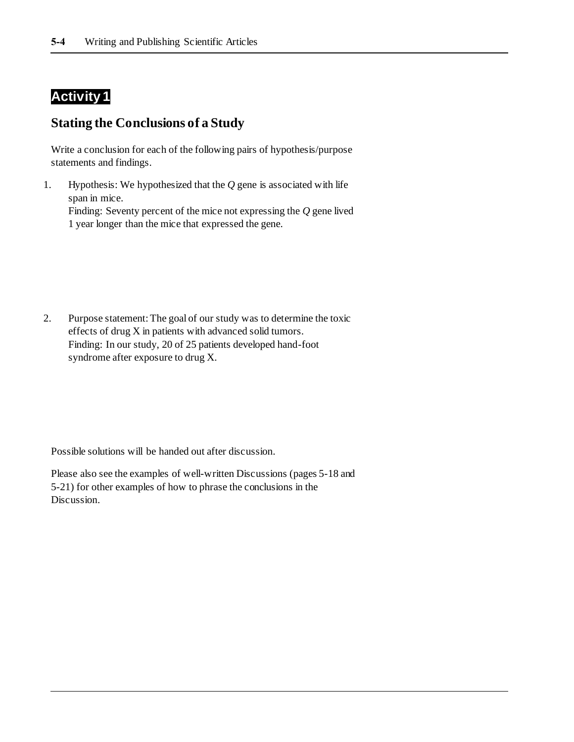### **Activity 1**

#### **Stating the Conclusions of a Study**

Write a conclusion for each of the following pairs of hypothesis/purpose statements and findings.

1. Hypothesis: We hypothesized that the *Q* gene is associated with life span in mice. Finding: Seventy percent of the mice not expressing the *Q* gene lived 1 year longer than the mice that expressed the gene.

2. Purpose statement: The goal of our study was to determine the toxic effects of drug X in patients with advanced solid tumors. Finding: In our study, 20 of 25 patients developed hand-foot syndrome after exposure to drug X.

Possible solutions will be handed out after discussion.

Please also see the examples of well-written Discussions (pages 5-18 and 5-21) for other examples of how to phrase the conclusions in the Discussion.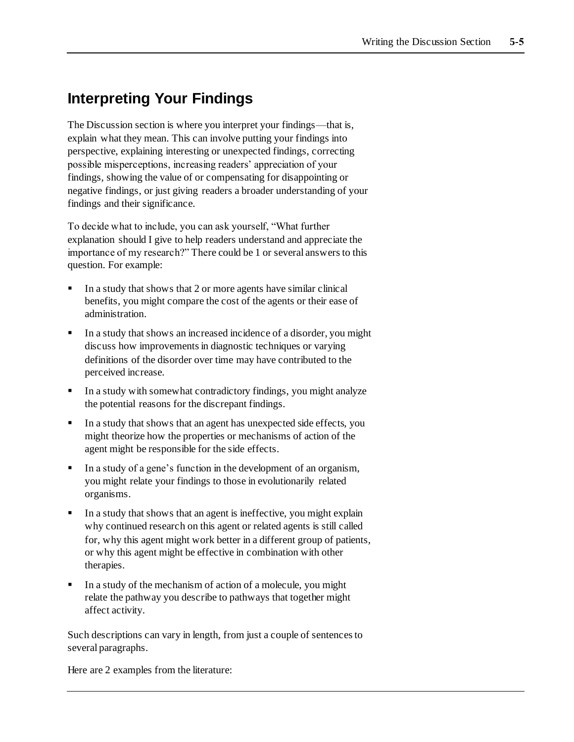## **Interpreting Your Findings**

The Discussion section is where you interpret your findings—that is, explain what they mean. This can involve putting your findings into perspective, explaining interesting or unexpected findings, correcting possible misperceptions, increasing readers' appreciation of your findings, showing the value of or compensating for disappointing or negative findings, or just giving readers a broader understanding of your findings and their significance.

To decide what to include, you can ask yourself, "What further explanation should I give to help readers understand and appreciate the importance of my research?" There could be 1 or several answers to this question. For example:

- In a study that shows that 2 or more agents have similar clinical benefits, you might compare the cost of the agents or their ease of administration.
- In a study that shows an increased incidence of a disorder, you might discuss how improvements in diagnostic techniques or varying definitions of the disorder over time may have contributed to the perceived increase.
- **I** In a study with somewhat contradictory findings, you might analyze the potential reasons for the discrepant findings.
- In a study that shows that an agent has unexpected side effects, you might theorize how the properties or mechanisms of action of the agent might be responsible for the side effects.
- In a study of a gene's function in the development of an organism, you might relate your findings to those in evolutionarily related organisms.
- In a study that shows that an agent is ineffective, you might explain why continued research on this agent or related agents is still called for, why this agent might work better in a different group of patients, or why this agent might be effective in combination with other therapies.
- In a study of the mechanism of action of a molecule, you might relate the pathway you describe to pathways that together might affect activity.

Such descriptions can vary in length, from just a couple of sentences to several paragraphs.

Here are 2 examples from the literature: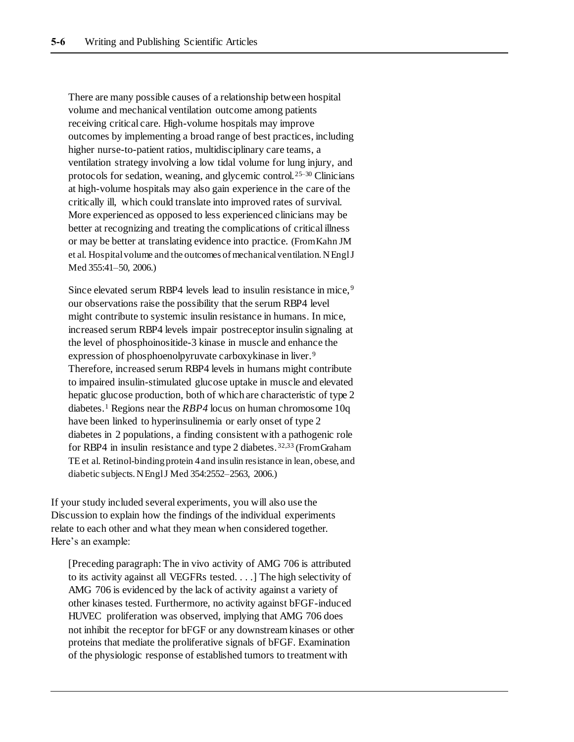There are many possible causes of a relationship between hospital volume and mechanical ventilation outcome among patients receiving critical care. High-volume hospitals may improve outcomes by implementing a broad range of best practices, including higher nurse-to-patient ratios, multidisciplinary care teams, a ventilation strategy involving a low tidal volume for lung injury, and protocols for sedation, weaning, and glycemic control.25–30 Clinicians at high-volume hospitals may also gain experience in the care of the critically ill, which could translate into improved rates of survival. More experienced as opposed to less experienced clinicians may be better at recognizing and treating the complications of critical illness or may be better at translating evidence into practice. (From Kahn JM et al. Hospital volume and the outcomes of mechanical ventilation. N Engl J Med 355:41–50, 2006.)

Since elevated serum RBP4 levels lead to insulin resistance in mice, <sup>9</sup> our observations raise the possibility that the serum RBP4 level might contribute to systemic insulin resistance in humans. In mice, increased serum RBP4 levels impair postreceptor insulin signaling at the level of phosphoinositide-3 kinase in muscle and enhance the expression of phosphoenolpyruvate carboxykinase in liver.<sup>9</sup> Therefore, increased serum RBP4 levels in humans might contribute to impaired insulin-stimulated glucose uptake in muscle and elevated hepatic glucose production, both of which are characteristic of type 2 diabetes.<sup>1</sup> Regions near the *RBP4* locus on human chromosome 10q have been linked to hyperinsulinemia or early onset of type 2 diabetes in 2 populations, a finding consistent with a pathogenic role for RBP4 in insulin resistance and type 2 diabetes.<sup>32,33</sup> (From Graham TE et al. Retinol-binding protein 4 and insulin resistance in lean, obese, and diabetic subjects. N Engl J Med 354:2552-2563, 2006.)

If your study included several experiments, you will also use the Discussion to explain how the findings of the individual experiments relate to each other and what they mean when considered together. Here's an example:

[Preceding paragraph: The in vivo activity of AMG 706 is attributed to its activity against all VEGFRs tested. . . .] The high selectivity of AMG 706 is evidenced by the lack of activity against a variety of other kinases tested. Furthermore, no activity against bFGF-induced HUVEC proliferation was observed, implying that AMG 706 does not inhibit the receptor for bFGF or any downstream kinases or other proteins that mediate the proliferative signals of bFGF. Examination of the physiologic response of established tumors to treatment with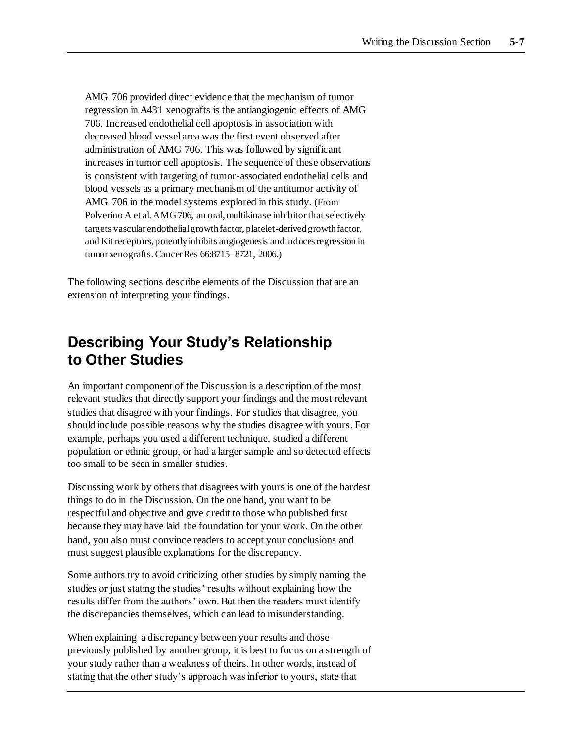AMG 706 provided direct evidence that the mechanism of tumor regression in A431 xenografts is the antiangiogenic effects of AMG 706. Increased endothelial cell apoptosis in association with decreased blood vessel area was the first event observed after administration of AMG 706. This was followed by significant increases in tumor cell apoptosis. The sequence of these observations is consistent with targeting of tumor-associated endothelial cells and blood vessels as a primary mechanism of the antitumor activity of AMG 706 in the model systems explored in this study. (From Polverino A et al. AMG 706, an oral, multikinase inhibitor that selectively targets vascular endothelial growth factor, platelet-derived growth factor, and Kit receptors, potently inhibits angiogenesis and induces regression in tumor xenografts. Cancer Res 66:8715–8721, 2006.)

The following sections describe elements of the Discussion that are an extension of interpreting your findings.

### **Describing Your Study's Relationship to Other Studies**

An important component of the Discussion is a description of the most relevant studies that directly support your findings and the most relevant studies that disagree with your findings. For studies that disagree, you should include possible reasons why the studies disagree with yours. For example, perhaps you used a different technique, studied a different population or ethnic group, or had a larger sample and so detected effects too small to be seen in smaller studies.

Discussing work by others that disagrees with yours is one of the hardest things to do in the Discussion. On the one hand, you want to be respectful and objective and give credit to those who published first because they may have laid the foundation for your work. On the other hand, you also must convince readers to accept your conclusions and must suggest plausible explanations for the discrepancy.

Some authors try to avoid criticizing other studies by simply naming the studies or just stating the studies' results without explaining how the results differ from the authors' own. But then the readers must identify the discrepancies themselves, which can lead to misunderstanding.

When explaining a discrepancy between your results and those previously published by another group, it is best to focus on a strength of your study rather than a weakness of theirs. In other words, instead of stating that the other study's approach was inferior to yours, state that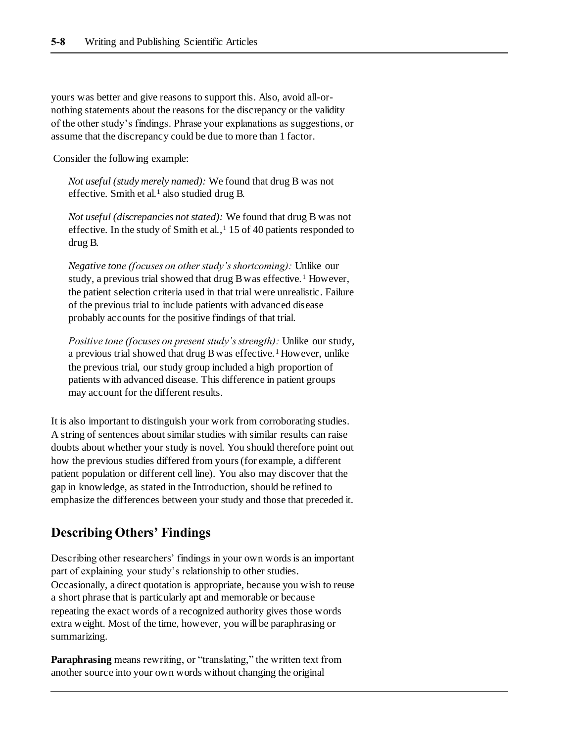yours was better and give reasons to support this. Also, avoid all-ornothing statements about the reasons for the discrepancy or the validity of the other study's findings. Phrase your explanations as suggestions, or assume that the discrepancy could be due to more than 1 factor.

Consider the following example:

*Not useful (study merely named):* We found that drug B was not effective. Smith et al.<sup>1</sup> also studied drug B.

*Not useful (discrepancies not stated):* We found that drug B was not effective. In the study of Smith et al., $1\ 15$  of 40 patients responded to drug B.

*Negative tone (focuses on other study's shortcoming):* Unlike our study, a previous trial showed that drug B was effective.<sup>1</sup> However, the patient selection criteria used in that trial were unrealistic. Failure of the previous trial to include patients with advanced disease probably accounts for the positive findings of that trial.

*Positive tone (focuses on present study's strength):* Unlike our study, a previous trial showed that drug B was effective.<sup>1</sup> However, unlike the previous trial, our study group included a high proportion of patients with advanced disease. This difference in patient groups may account for the different results.

It is also important to distinguish your work from corroborating studies. A string of sentences about similar studies with similar results can raise doubts about whether your study is novel. You should therefore point out how the previous studies differed from yours (for example, a different patient population or different cell line). You also may discover that the gap in knowledge, as stated in the Introduction, should be refined to emphasize the differences between your study and those that preceded it.

#### **Describing Others' Findings**

Describing other researchers' findings in your own words is an important part of explaining your study's relationship to other studies. Occasionally, a direct quotation is appropriate, because you wish to reuse a short phrase that is particularly apt and memorable or because repeating the exact words of a recognized authority gives those words extra weight. Most of the time, however, you will be paraphrasing or summarizing.

**Paraphrasing** means rewriting, or "translating," the written text from another source into your own words without changing the original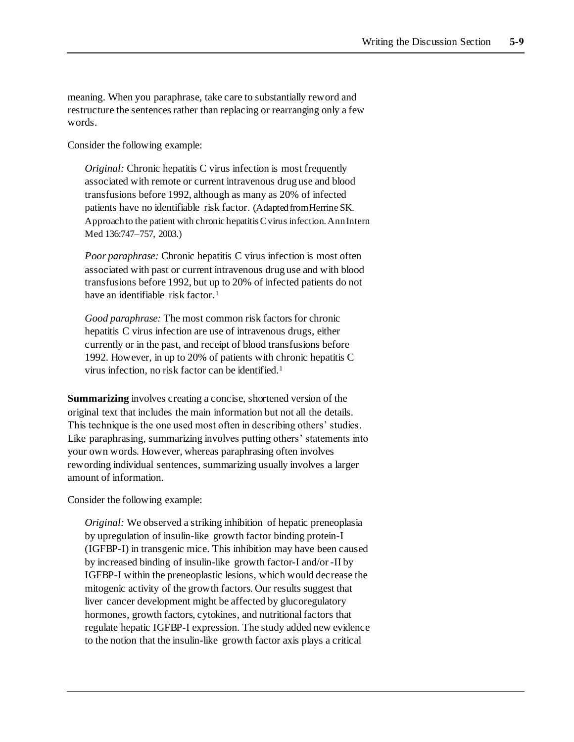meaning. When you paraphrase, take care to substantially reword and restructure the sentences rather than replacing or rearranging only a few words.

Consider the following example:

*Original:* Chronic hepatitis C virus infection is most frequently associated with remote or current intravenous drug use and blood transfusions before 1992, although as many as 20% of infected patients have no identifiable risk factor. (Adapted from Herrine SK. Approach to the patient with chronic hepatitis C virus infection. Ann Intern Med 136:747–757, 2003.)

*Poor paraphrase:* Chronic hepatitis C virus infection is most often associated with past or current intravenous drug use and with blood transfusions before 1992, but up to 20% of infected patients do not have an identifiable risk factor.<sup>1</sup>

*Good paraphrase:* The most common risk factors for chronic hepatitis C virus infection are use of intravenous drugs, either currently or in the past, and receipt of blood transfusions before 1992. However, in up to 20% of patients with chronic hepatitis C virus infection, no risk factor can be identified.<sup>1</sup>

**Summarizing** involves creating a concise, shortened version of the original text that includes the main information but not all the details. This technique is the one used most often in describing others' studies. Like paraphrasing, summarizing involves putting others' statements into your own words. However, whereas paraphrasing often involves rewording individual sentences, summarizing usually involves a larger amount of information.

Consider the following example:

*Original:* We observed a striking inhibition of hepatic preneoplasia by upregulation of insulin-like growth factor binding protein-I (IGFBP-I) in transgenic mice. This inhibition may have been caused by increased binding of insulin-like growth factor-I and/or -II by IGFBP-I within the preneoplastic lesions, which would decrease the mitogenic activity of the growth factors. Our results suggest that liver cancer development might be affected by glucoregulatory hormones, growth factors, cytokines, and nutritional factors that regulate hepatic IGFBP-I expression. The study added new evidence to the notion that the insulin-like growth factor axis plays a critical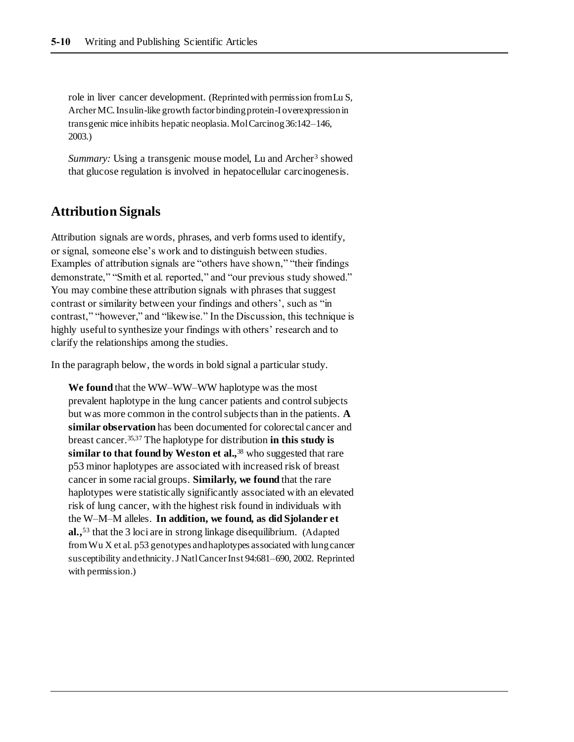role in liver cancer development. (Reprinted with permission from Lu S, Archer MC. Insulin-like growth factor binding protein-I overexpression in transgenic mice inhibits hepatic neoplasia. Mol Carcinog 36:142–146, 2003.)

*Summary:* Using a transgenic mouse model, Lu and Archer<sup>3</sup> showed that glucose regulation is involved in hepatocellular carcinogenesis.

#### **Attribution Signals**

Attribution signals are words, phrases, and verb forms used to identify, or signal, someone else's work and to distinguish between studies. Examples of attribution signals are "others have shown," "their findings demonstrate," "Smith et al. reported," and "our previous study showed." You may combine these attribution signals with phrases that suggest contrast or similarity between your findings and others', such as "in contrast," "however," and "likewise." In the Discussion, this technique is highly useful to synthesize your findings with others' research and to clarify the relationships among the studies.

In the paragraph below, the words in bold signal a particular study.

**We found** that the WW–WW–WW haplotype was the most prevalent haplotype in the lung cancer patients and control subjects but was more common in the control subjects than in the patients. **A similar observation** has been documented for colorectal cancer and breast cancer.35,37 The haplotype for distribution **in this study is similar to that found by Weston et al.,**<sup>38</sup> who suggested that rare p53 minor haplotypes are associated with increased risk of breast cancer in some racial groups. **Similarly, we found** that the rare haplotypes were statistically significantly associated with an elevated risk of lung cancer, with the highest risk found in individuals with the W–M–M alleles. **In addition, we found, as did Sjolander et al.,**<sup>53</sup> that the 3 loci are in strong linkage disequilibrium. (Adapted from Wu X et al. p53 genotypes and haplotypes associated with lung cancer susceptibility and ethnicity. J Natl Cancer Inst 94:681–690, 2002. Reprinted with permission.)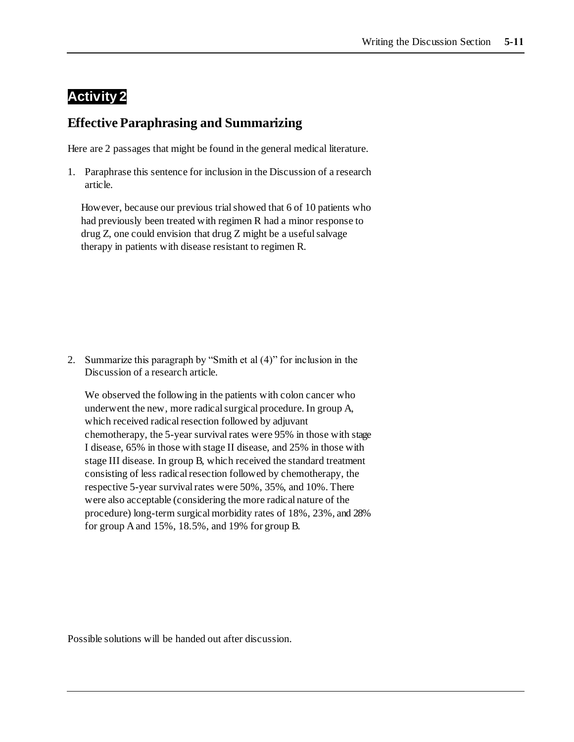### **Activity 2**

#### **Effective Paraphrasing and Summarizing**

Here are 2 passages that might be found in the general medical literature.

1. Paraphrase this sentence for inclusion in the Discussion of a research article.

However, because our previous trial showed that 6 of 10 patients who had previously been treated with regimen R had a minor response to drug Z, one could envision that drug Z might be a useful salvage therapy in patients with disease resistant to regimen R.

2. Summarize this paragraph by "Smith et al (4)" for inclusion in the Discussion of a research article.

We observed the following in the patients with colon cancer who underwent the new, more radical surgical procedure. In group A, which received radical resection followed by adjuvant chemotherapy, the 5-year survival rates were 95% in those with stage I disease, 65% in those with stage II disease, and 25% in those with stage III disease. In group B, which received the standard treatment consisting of less radical resection followed by chemotherapy, the respective 5-year survival rates were 50%, 35%, and 10%. There were also acceptable (considering the more radical nature of the procedure) long-term surgical morbidity rates of 18%, 23%, and 28% for group A and 15%, 18.5%, and 19% for group B.

Possible solutions will be handed out after discussion.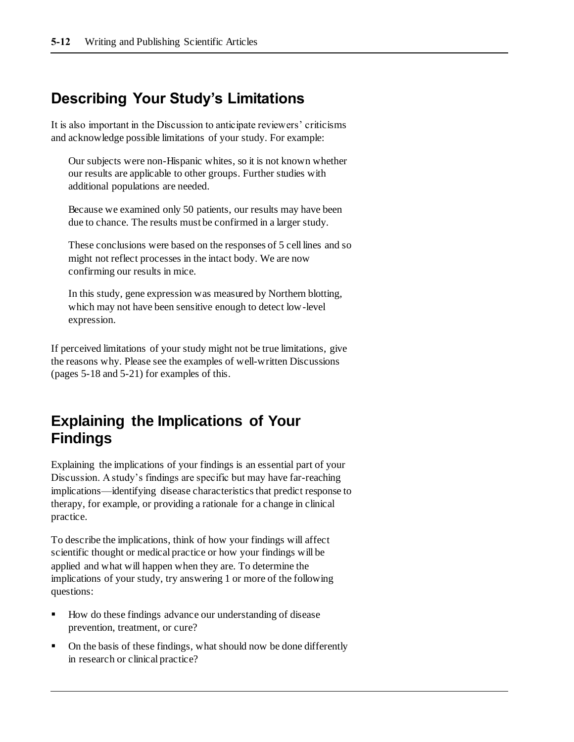### **Describing Your Study's Limitations**

It is also important in the Discussion to anticipate reviewers' criticisms and acknowledge possible limitations of your study. For example:

Our subjects were non-Hispanic whites, so it is not known whether our results are applicable to other groups. Further studies with additional populations are needed.

Because we examined only 50 patients, our results may have been due to chance. The results must be confirmed in a larger study.

These conclusions were based on the responses of 5 cell lines and so might not reflect processes in the intact body. We are now confirming our results in mice.

In this study, gene expression was measured by Northern blotting, which may not have been sensitive enough to detect low-level expression.

If perceived limitations of your study might not be true limitations, give the reasons why. Please see the examples of well-written Discussions (pages 5-18 and 5-21) for examples of this.

## **Explaining the Implications of Your Findings**

Explaining the implications of your findings is an essential part of your Discussion. A study's findings are specific but may have far-reaching implications—identifying disease characteristics that predict response to therapy, for example, or providing a rationale for a change in clinical practice.

To describe the implications, think of how your findings will affect scientific thought or medical practice or how your findings will be applied and what will happen when they are. To determine the implications of your study, try answering 1 or more of the following questions:

- How do these findings advance our understanding of disease prevention, treatment, or cure?
- On the basis of these findings, what should now be done differently in research or clinical practice?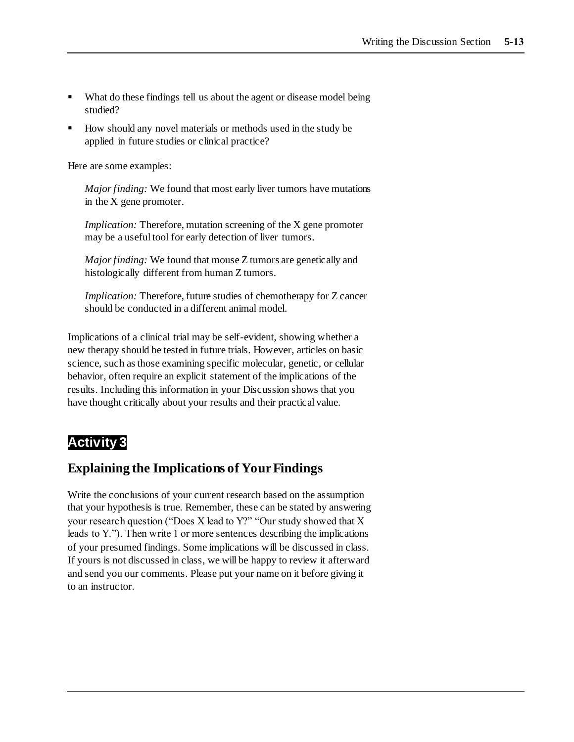- What do these findings tell us about the agent or disease model being studied?
- How should any novel materials or methods used in the study be applied in future studies or clinical practice?

Here are some examples:

*Major finding:* We found that most early liver tumors have mutations in the X gene promoter.

*Implication:* Therefore, mutation screening of the X gene promoter may be a useful tool for early detection of liver tumors.

*Major finding:* We found that mouse Z tumors are genetically and histologically different from human Z tumors.

*Implication:* Therefore, future studies of chemotherapy for Z cancer should be conducted in a different animal model.

Implications of a clinical trial may be self-evident, showing whether a new therapy should be tested in future trials. However, articles on basic science, such as those examining specific molecular, genetic, or cellular behavior, often require an explicit statement of the implications of the results. Including this information in your Discussion shows that you have thought critically about your results and their practical value.

### **Activity 3**

#### **Explaining the Implications of Your Findings**

Write the conclusions of your current research based on the assumption that your hypothesis is true. Remember, these can be stated by answering your research question ("Does X lead to Y?" "Our study showed that X leads to Y."). Then write 1 or more sentences describing the implications of your presumed findings. Some implications will be discussed in class. If yours is not discussed in class, we will be happy to review it afterward and send you our comments. Please put your name on it before giving it to an instructor.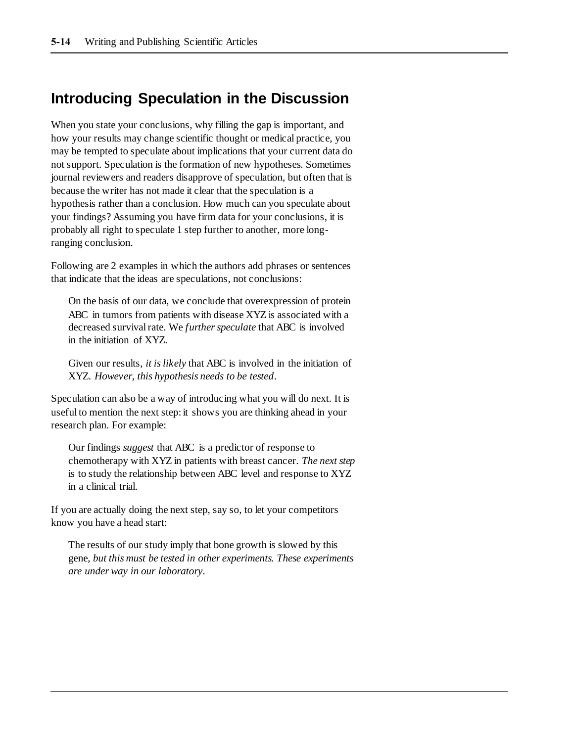### **Introducing Speculation in the Discussion**

When you state your conclusions, why filling the gap is important, and how your results may change scientific thought or medical practice, you may be tempted to speculate about implications that your current data do not support. Speculation is the formation of new hypotheses. Sometimes journal reviewers and readers disapprove of speculation, but often that is because the writer has not made it clear that the speculation is a hypothesis rather than a conclusion. How much can you speculate about your findings? Assuming you have firm data for your conclusions, it is probably all right to speculate 1 step further to another, more longranging conclusion.

Following are 2 examples in which the authors add phrases or sentences that indicate that the ideas are speculations, not conclusions:

On the basis of our data, we conclude that overexpression of protein ABC in tumors from patients with disease XYZ is associated with a decreased survival rate. We *further speculate* that ABC is involved in the initiation of XYZ.

Given our results, *it is likely* that ABC is involved in the initiation of XYZ. *However, this hypothesis needs to be tested*.

Speculation can also be a way of introducing what you will do next. It is useful to mention the next step: it shows you are thinking ahead in your research plan. For example:

Our findings *suggest* that ABC is a predictor of response to chemotherapy with XYZ in patients with breast cancer. *The next step* is to study the relationship between ABC level and response to XYZ in a clinical trial.

If you are actually doing the next step, say so, to let your competitors know you have a head start:

The results of our study imply that bone growth is slowed by this gene, *but this must be tested in other experiments. These experiments are under way in our laboratory*.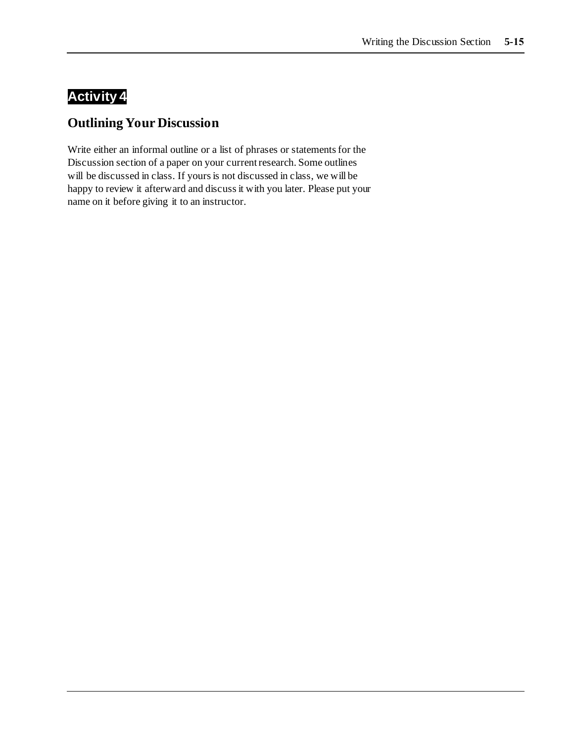## **Activity 4**

### **Outlining Your Discussion**

Write either an informal outline or a list of phrases or statements for the Discussion section of a paper on your current research. Some outlines will be discussed in class. If yours is not discussed in class, we will be happy to review it afterward and discuss it with you later. Please put your name on it before giving it to an instructor.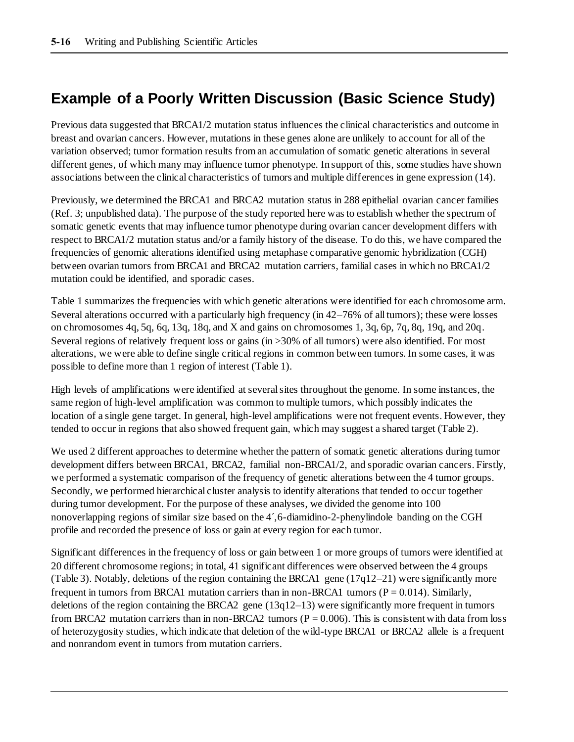## **Example of a Poorly Written Discussion (Basic Science Study)**

Previous data suggested that BRCA1/2 mutation status influences the clinical characteristics and outcome in breast and ovarian cancers. However, mutations in these genes alone are unlikely to account for all of the variation observed; tumor formation results from an accumulation of somatic genetic alterations in several different genes, of which many may influence tumor phenotype. In support of this, some studies have shown associations between the clinical characteristics of tumors and multiple differences in gene expression (14).

Previously, we determined the BRCA1 and BRCA2 mutation status in 288 epithelial ovarian cancer families (Ref. 3; unpublished data). The purpose of the study reported here was to establish whether the spectrum of somatic genetic events that may influence tumor phenotype during ovarian cancer development differs with respect to BRCA1/2 mutation status and/or a family history of the disease. To do this, we have compared the frequencies of genomic alterations identified using metaphase comparative genomic hybridization (CGH) between ovarian tumors from BRCA1 and BRCA2 mutation carriers, familial cases in which no BRCA1/2 mutation could be identified, and sporadic cases.

Table 1 summarizes the frequencies with which genetic alterations were identified for each chromosome arm. Several alterations occurred with a particularly high frequency (in 42–76% of all tumors); these were losses on chromosomes 4q, 5q, 6q, 13q, 18q, and X and gains on chromosomes 1, 3q, 6p, 7q, 8q, 19q, and 20q. Several regions of relatively frequent loss or gains (in >30% of all tumors) were also identified. For most alterations, we were able to define single critical regions in common between tumors. In some cases, it was possible to define more than 1 region of interest (Table 1).

High levels of amplifications were identified at several sites throughout the genome. In some instances, the same region of high-level amplification was common to multiple tumors, which possibly indicates the location of a single gene target. In general, high-level amplifications were not frequent events. However, they tended to occur in regions that also showed frequent gain, which may suggest a shared target (Table 2).

We used 2 different approaches to determine whether the pattern of somatic genetic alterations during tumor development differs between BRCA1, BRCA2, familial non-BRCA1/2, and sporadic ovarian cancers. Firstly, we performed a systematic comparison of the frequency of genetic alterations between the 4 tumor groups. Secondly, we performed hierarchical cluster analysis to identify alterations that tended to occur together during tumor development. For the purpose of these analyses, we divided the genome into 100 nonoverlapping regions of similar size based on the 4´,6-diamidino-2-phenylindole banding on the CGH profile and recorded the presence of loss or gain at every region for each tumor.

Significant differences in the frequency of loss or gain between 1 or more groups of tumors were identified at 20 different chromosome regions; in total, 41 significant differences were observed between the 4 groups (Table 3). Notably, deletions of the region containing the BRCA1 gene  $(17q12–21)$  were significantly more frequent in tumors from BRCA1 mutation carriers than in non-BRCA1 tumors ( $P = 0.014$ ). Similarly, deletions of the region containing the BRCA2 gene  $(13q12-13)$  were significantly more frequent in tumors from BRCA2 mutation carriers than in non-BRCA2 tumors ( $P = 0.006$ ). This is consistent with data from loss of heterozygosity studies, which indicate that deletion of the wild-type BRCA1 or BRCA2 allele is a frequent and nonrandom event in tumors from mutation carriers.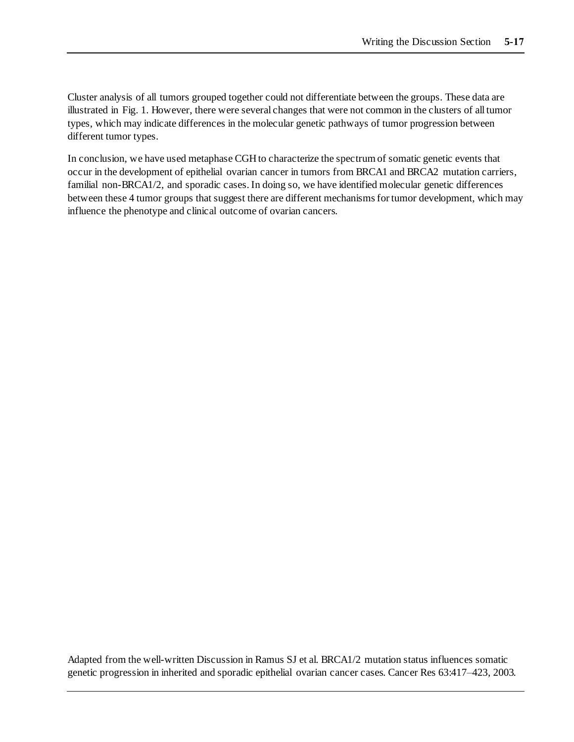Cluster analysis of all tumors grouped together could not differentiate between the groups. These data are illustrated in Fig. 1. However, there were several changes that were not common in the clusters of all tumor types, which may indicate differences in the molecular genetic pathways of tumor progression between different tumor types.

In conclusion, we have used metaphase CGH to characterize the spectrum of somatic genetic events that occur in the development of epithelial ovarian cancer in tumors from BRCA1 and BRCA2 mutation carriers, familial non-BRCA1/2, and sporadic cases. In doing so, we have identified molecular genetic differences between these 4 tumor groups that suggest there are different mechanisms for tumor development, which may influence the phenotype and clinical outcome of ovarian cancers.

Adapted from the well-written Discussion in Ramus SJ et al. BRCA1/2 mutation status influences somatic genetic progression in inherited and sporadic epithelial ovarian cancer cases. Cancer Res 63:417–423, 2003.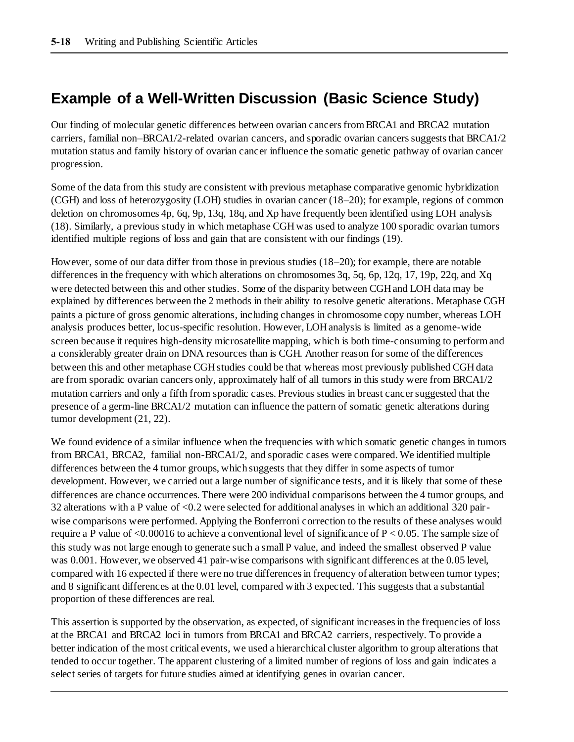## **Example of a Well-Written Discussion (Basic Science Study)**

Our finding of molecular genetic differences between ovarian cancers from BRCA1 and BRCA2 mutation carriers, familial non–BRCA1/2-related ovarian cancers, and sporadic ovarian cancers suggests that BRCA1/2 mutation status and family history of ovarian cancer influence the somatic genetic pathway of ovarian cancer progression.

Some of the data from this study are consistent with previous metaphase comparative genomic hybridization (CGH) and loss of heterozygosity (LOH) studies in ovarian cancer (18–20); for example, regions of common deletion on chromosomes 4p, 6q, 9p, 13q, 18q, and Xp have frequently been identified using LOH analysis (18). Similarly, a previous study in which metaphase CGH was used to analyze 100 sporadic ovarian tumors identified multiple regions of loss and gain that are consistent with our findings (19).

However, some of our data differ from those in previous studies (18–20); for example, there are notable differences in the frequency with which alterations on chromosomes 3q, 5q, 6p, 12q, 17, 19p, 22q, and Xq were detected between this and other studies. Some of the disparity between CGH and LOH data may be explained by differences between the 2 methods in their ability to resolve genetic alterations. Metaphase CGH paints a picture of gross genomic alterations, including changes in chromosome copy number, whereas LOH analysis produces better, locus-specific resolution. However, LOH analysis is limited as a genome-wide screen because it requires high-density microsatellite mapping, which is both time-consuming to perform and a considerably greater drain on DNA resources than is CGH. Another reason for some of the differences between this and other metaphase CGH studies could be that whereas most previously published CGH data are from sporadic ovarian cancers only, approximately half of all tumors in this study were from BRCA1/2 mutation carriers and only a fifth from sporadic cases. Previous studies in breast cancer suggested that the presence of a germ-line BRCA1/2 mutation can influence the pattern of somatic genetic alterations during tumor development (21, 22).

We found evidence of a similar influence when the frequencies with which somatic genetic changes in tumors from BRCA1, BRCA2, familial non-BRCA1/2, and sporadic cases were compared. We identified multiple differences between the 4 tumor groups, which suggests that they differ in some aspects of tumor development. However, we carried out a large number of significance tests, and it is likely that some of these differences are chance occurrences. There were 200 individual comparisons between the 4 tumor groups, and 32 alterations with a P value of <0.2 were selected for additional analyses in which an additional 320 pairwise comparisons were performed. Applying the Bonferroni correction to the results of these analyses would require a P value of  $\leq 0.00016$  to achieve a conventional level of significance of P  $\leq 0.05$ . The sample size of this study was not large enough to generate such a small P value, and indeed the smallest observed P value was 0.001. However, we observed 41 pair-wise comparisons with significant differences at the 0.05 level, compared with 16 expected if there were no true differences in frequency of alteration between tumor types; and 8 significant differences at the 0.01 level, compared with 3 expected. This suggests that a substantial proportion of these differences are real.

This assertion is supported by the observation, as expected, of significant increases in the frequencies of loss at the BRCA1 and BRCA2 loci in tumors from BRCA1 and BRCA2 carriers, respectively. To provide a better indication of the most critical events, we used a hierarchical cluster algorithm to group alterations that tended to occur together. The apparent clustering of a limited number of regions of loss and gain indicates a select series of targets for future studies aimed at identifying genes in ovarian cancer.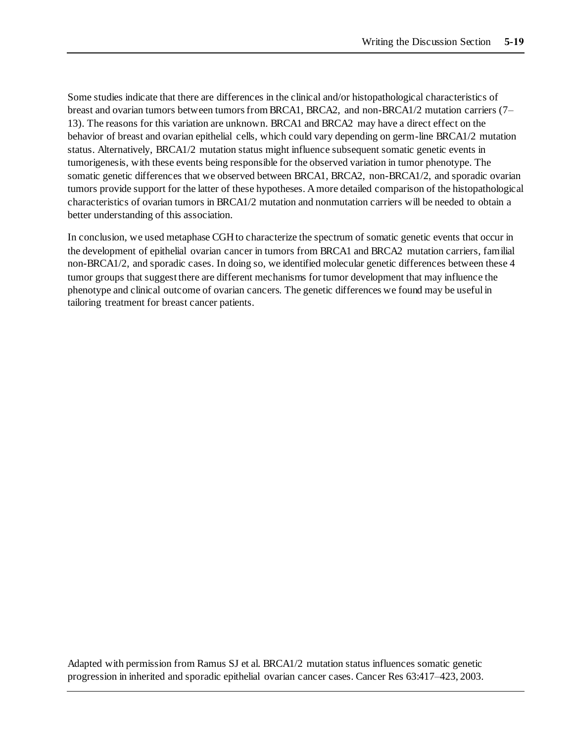Some studies indicate that there are differences in the clinical and/or histopathological characteristics of breast and ovarian tumors between tumors from BRCA1, BRCA2, and non-BRCA1/2 mutation carriers (7– 13). The reasons for this variation are unknown. BRCA1 and BRCA2 may have a direct effect on the behavior of breast and ovarian epithelial cells, which could vary depending on germ-line BRCA1/2 mutation status. Alternatively, BRCA1/2 mutation status might influence subsequent somatic genetic events in tumorigenesis, with these events being responsible for the observed variation in tumor phenotype. The somatic genetic differences that we observed between BRCA1, BRCA2, non-BRCA1/2, and sporadic ovarian tumors provide support for the latter of these hypotheses. A more detailed comparison of the histopathological characteristics of ovarian tumors in BRCA1/2 mutation and nonmutation carriers will be needed to obtain a better understanding of this association.

In conclusion, we used metaphase CGH to characterize the spectrum of somatic genetic events that occur in the development of epithelial ovarian cancer in tumors from BRCA1 and BRCA2 mutation carriers, familial non-BRCA1/2, and sporadic cases. In doing so, we identified molecular genetic differences between these 4 tumor groups that suggest there are different mechanisms for tumor development that may influence the phenotype and clinical outcome of ovarian cancers. The genetic differences we found may be useful in tailoring treatment for breast cancer patients.

Adapted with permission from Ramus SJ et al. BRCA1/2 mutation status influences somatic genetic progression in inherited and sporadic epithelial ovarian cancer cases. Cancer Res 63:417–423, 2003.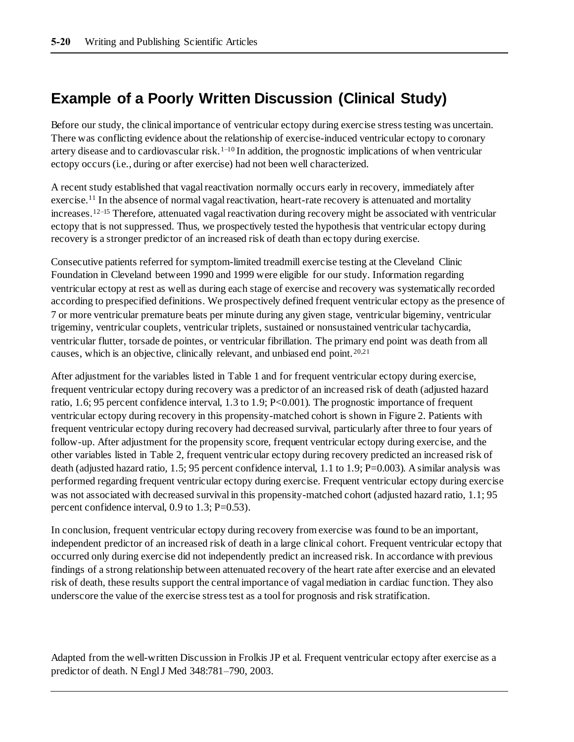## **Example of a Poorly Written Discussion (Clinical Study)**

Before our study, the clinical importance of ventricular ectopy during exercise stress testing was uncertain. There was conflicting evidence about the relationship of exercise-induced ventricular ectopy to coronary artery disease and to cardiovascular risk.<sup>1–10</sup> In addition, the prognostic implications of when ventricular ectopy occurs (i.e., during or after exercise) had not been well characterized.

A recent study established that vagal reactivation normally occurs early in recovery, immediately after exercise.<sup>11</sup> In the absence of normal vagal reactivation, heart-rate recovery is attenuated and mortality increases.12–15 Therefore, attenuated vagal reactivation during recovery might be associated with ventricular ectopy that is not suppressed. Thus, we prospectively tested the hypothesis that ventricular ectopy during recovery is a stronger predictor of an increased risk of death than ectopy during exercise.

Consecutive patients referred for symptom-limited treadmill exercise testing at the Cleveland Clinic Foundation in Cleveland between 1990 and 1999 were eligible for our study. Information regarding ventricular ectopy at rest as well as during each stage of exercise and recovery was systematically recorded according to prespecified definitions. We prospectively defined frequent ventricular ectopy as the presence of 7 or more ventricular premature beats per minute during any given stage, ventricular bigeminy, ventricular trigeminy, ventricular couplets, ventricular triplets, sustained or nonsustained ventricular tachycardia, ventricular flutter, torsade de pointes, or ventricular fibrillation. The primary end point was death from all causes, which is an objective, clinically relevant, and unbiased end point. 20,21

After adjustment for the variables listed in Table 1 and for frequent ventricular ectopy during exercise, frequent ventricular ectopy during recovery was a predictor of an increased risk of death (adjusted hazard ratio, 1.6; 95 percent confidence interval, 1.3 to 1.9; P<0.001). The prognostic importance of frequent ventricular ectopy during recovery in this propensity-matched cohort is shown in Figure 2. Patients with frequent ventricular ectopy during recovery had decreased survival, particularly after three to four years of follow-up. After adjustment for the propensity score, frequent ventricular ectopy during exercise, and the other variables listed in Table 2, frequent ventricular ectopy during recovery predicted an increased risk of death (adjusted hazard ratio, 1.5; 95 percent confidence interval, 1.1 to 1.9; P=0.003). A similar analysis was performed regarding frequent ventricular ectopy during exercise. Frequent ventricular ectopy during exercise was not associated with decreased survival in this propensity-matched cohort (adjusted hazard ratio, 1.1; 95 percent confidence interval, 0.9 to 1.3; P=0.53).

In conclusion, frequent ventricular ectopy during recovery from exercise was found to be an important, independent predictor of an increased risk of death in a large clinical cohort. Frequent ventricular ectopy that occurred only during exercise did not independently predict an increased risk. In accordance with previous findings of a strong relationship between attenuated recovery of the heart rate after exercise and an elevated risk of death, these results support the central importance of vagal mediation in cardiac function. They also underscore the value of the exercise stress test as a tool for prognosis and risk stratification.

Adapted from the well-written Discussion in Frolkis JP et al. Frequent ventricular ectopy after exercise as a predictor of death. N Engl J Med 348:781–790, 2003.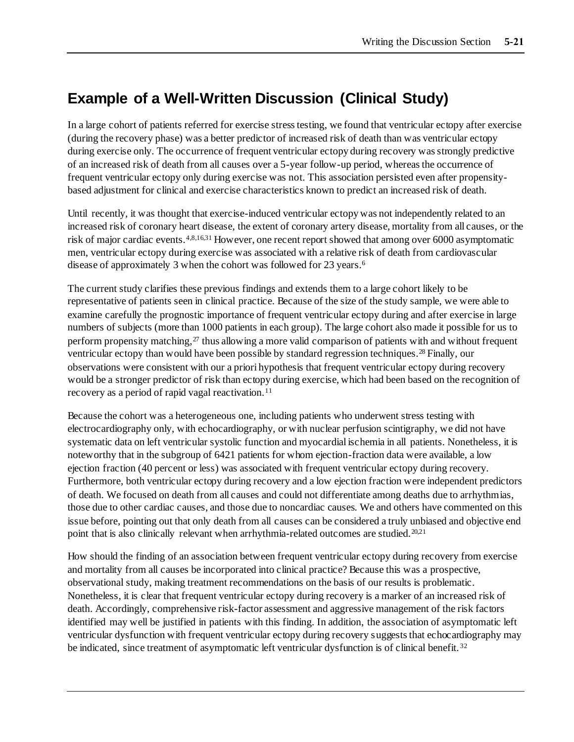## **Example of a Well-Written Discussion (Clinical Study)**

In a large cohort of patients referred for exercise stress testing, we found that ventricular ectopy after exercise (during the recovery phase) was a better predictor of increased risk of death than was ventricular ectopy during exercise only. The occurrence of frequent ventricular ectopy during recovery was strongly predictive of an increased risk of death from all causes over a 5-year follow-up period, whereas the occurrence of frequent ventricular ectopy only during exercise was not. This association persisted even after propensitybased adjustment for clinical and exercise characteristics known to predict an increased risk of death.

Until recently, it was thought that exercise-induced ventricular ectopy was not independently related to an increased risk of coronary heart disease, the extent of coronary artery disease, mortality from all causes, or the risk of major cardiac events.4,8,16,31 However, one recent report showed that among over 6000 asymptomatic men, ventricular ectopy during exercise was associated with a relative risk of death from cardiovascular disease of approximately 3 when the cohort was followed for 23 years.<sup>6</sup>

The current study clarifies these previous findings and extends them to a large cohort likely to be representative of patients seen in clinical practice. Because of the size of the study sample, we were able to examine carefully the prognostic importance of frequent ventricular ectopy during and after exercise in large numbers of subjects (more than 1000 patients in each group). The large cohort also made it possible for us to perform propensity matching, $27$  thus allowing a more valid comparison of patients with and without frequent ventricular ectopy than would have been possible by standard regression techniques.<sup>28</sup> Finally, our observations were consistent with our a priori hypothesis that frequent ventricular ectopy during recovery would be a stronger predictor of risk than ectopy during exercise, which had been based on the recognition of recovery as a period of rapid vagal reactivation.<sup>11</sup>

Because the cohort was a heterogeneous one, including patients who underwent stress testing with electrocardiography only, with echocardiography, or with nuclear perfusion scintigraphy, we did not have systematic data on left ventricular systolic function and myocardial ischemia in all patients. Nonetheless, it is noteworthy that in the subgroup of 6421 patients for whom ejection-fraction data were available, a low ejection fraction (40 percent or less) was associated with frequent ventricular ectopy during recovery. Furthermore, both ventricular ectopy during recovery and a low ejection fraction were independent predictors of death. We focused on death from all causes and could not differentiate among deaths due to arrhythmias, those due to other cardiac causes, and those due to noncardiac causes. We and others have commented on this issue before, pointing out that only death from all causes can be considered a truly unbiased and objective end point that is also clinically relevant when arrhythmia-related outcomes are studied.<sup>20,21</sup>

How should the finding of an association between frequent ventricular ectopy during recovery from exercise and mortality from all causes be incorporated into clinical practice? Because this was a prospective, observational study, making treatment recommendations on the basis of our results is problematic. Nonetheless, it is clear that frequent ventricular ectopy during recovery is a marker of an increased risk of death. Accordingly, comprehensive risk-factor assessment and aggressive management of the risk factors identified may well be justified in patients with this finding. In addition, the association of asymptomatic left ventricular dysfunction with frequent ventricular ectopy during recovery suggests that echocardiography may be indicated, since treatment of asymptomatic left ventricular dysfunction is of clinical benefit.<sup>32</sup>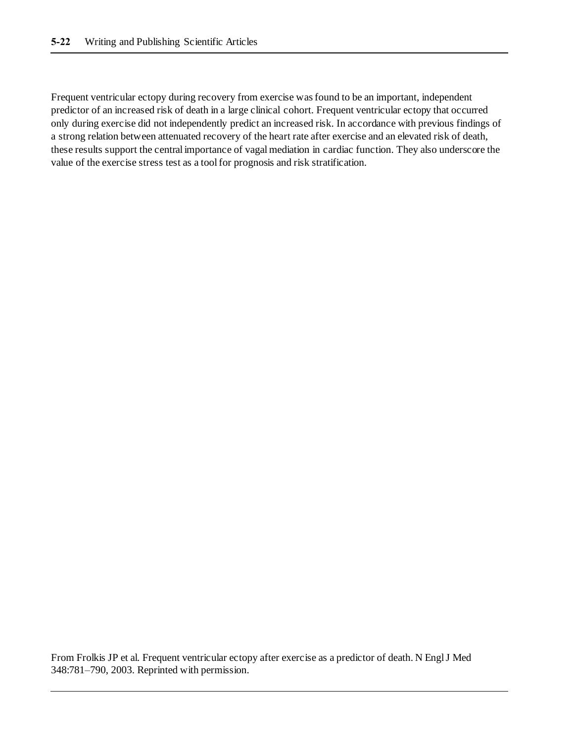Frequent ventricular ectopy during recovery from exercise was found to be an important, independent predictor of an increased risk of death in a large clinical cohort. Frequent ventricular ectopy that occurred only during exercise did not independently predict an increased risk. In accordance with previous findings of a strong relation between attenuated recovery of the heart rate after exercise and an elevated risk of death, these results support the central importance of vagal mediation in cardiac function. They also underscore the value of the exercise stress test as a tool for prognosis and risk stratification.

From Frolkis JP et al. Frequent ventricular ectopy after exercise as a predictor of death. N Engl J Med 348:781–790, 2003. Reprinted with permission.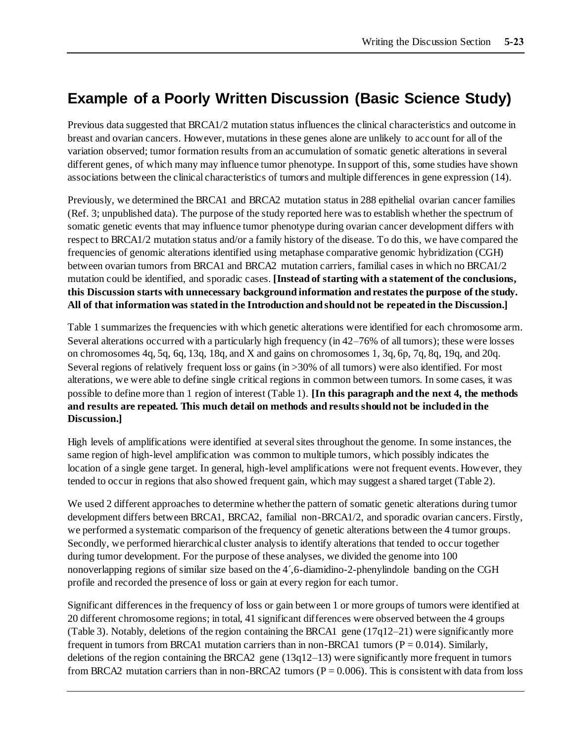## **Example of a Poorly Written Discussion (Basic Science Study)**

Previous data suggested that BRCA1/2 mutation status influences the clinical characteristics and outcome in breast and ovarian cancers. However, mutations in these genes alone are unlikely to account for all of the variation observed; tumor formation results from an accumulation of somatic genetic alterations in several different genes, of which many may influence tumor phenotype. In support of this, some studies have shown associations between the clinical characteristics of tumors and multiple differences in gene expression (14).

Previously, we determined the BRCA1 and BRCA2 mutation status in 288 epithelial ovarian cancer families (Ref. 3; unpublished data). The purpose of the study reported here was to establish whether the spectrum of somatic genetic events that may influence tumor phenotype during ovarian cancer development differs with respect to BRCA1/2 mutation status and/or a family history of the disease. To do this, we have compared the frequencies of genomic alterations identified using metaphase comparative genomic hybridization (CGH) between ovarian tumors from BRCA1 and BRCA2 mutation carriers, familial cases in which no BRCA1/2 mutation could be identified, and sporadic cases. **[Instead of starting with a statement of the conclusions, this Discussion starts with unnecessary background information and restates the purpose of the study. All of that information was stated in the Introduction and should not be repeated in the Discussion.]**

Table 1 summarizes the frequencies with which genetic alterations were identified for each chromosome arm. Several alterations occurred with a particularly high frequency (in 42–76% of all tumors); these were losses on chromosomes 4q, 5q, 6q, 13q, 18q, and X and gains on chromosomes 1, 3q, 6p, 7q, 8q, 19q, and 20q. Several regions of relatively frequent loss or gains (in >30% of all tumors) were also identified. For most alterations, we were able to define single critical regions in common between tumors. In some cases, it was possible to define more than 1 region of interest (Table 1). **[In this paragraph and the next 4, the methods and results are repeated. This much detail on methods and results should not be included in the Discussion.]** 

High levels of amplifications were identified at several sites throughout the genome. In some instances, the same region of high-level amplification was common to multiple tumors, which possibly indicates the location of a single gene target. In general, high-level amplifications were not frequent events. However, they tended to occur in regions that also showed frequent gain, which may suggest a shared target (Table 2).

We used 2 different approaches to determine whether the pattern of somatic genetic alterations during tumor development differs between BRCA1, BRCA2, familial non-BRCA1/2, and sporadic ovarian cancers. Firstly, we performed a systematic comparison of the frequency of genetic alterations between the 4 tumor groups. Secondly, we performed hierarchical cluster analysis to identify alterations that tended to occur together during tumor development. For the purpose of these analyses, we divided the genome into 100 nonoverlapping regions of similar size based on the 4´,6-diamidino-2-phenylindole banding on the CGH profile and recorded the presence of loss or gain at every region for each tumor.

Significant differences in the frequency of loss or gain between 1 or more groups of tumors were identified at 20 different chromosome regions; in total, 41 significant differences were observed between the 4 groups (Table 3). Notably, deletions of the region containing the BRCA1 gene  $(17q12-21)$  were significantly more frequent in tumors from BRCA1 mutation carriers than in non-BRCA1 tumors ( $P = 0.014$ ). Similarly, deletions of the region containing the BRCA2 gene (13q12–13) were significantly more frequent in tumors from BRCA2 mutation carriers than in non-BRCA2 tumors ( $P = 0.006$ ). This is consistent with data from loss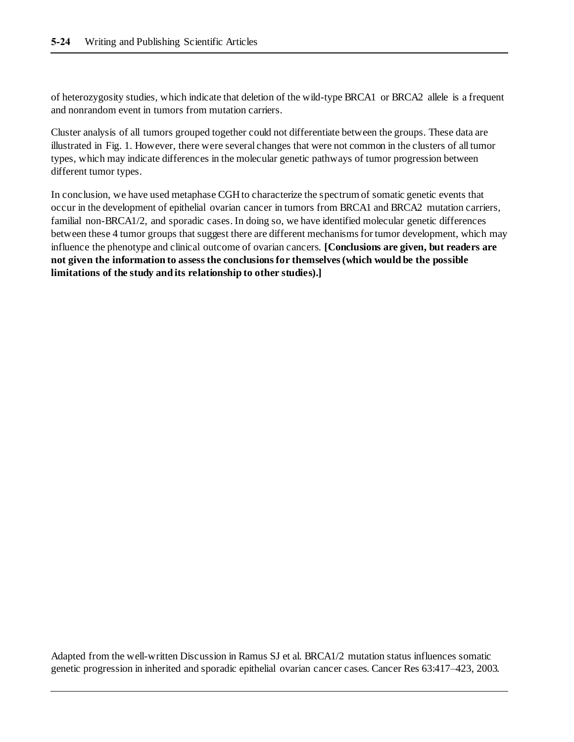of heterozygosity studies, which indicate that deletion of the wild-type BRCA1 or BRCA2 allele is a frequent and nonrandom event in tumors from mutation carriers.

Cluster analysis of all tumors grouped together could not differentiate between the groups. These data are illustrated in Fig. 1. However, there were several changes that were not common in the clusters of all tumor types, which may indicate differences in the molecular genetic pathways of tumor progression between different tumor types.

In conclusion, we have used metaphase CGH to characterize the spectrum of somatic genetic events that occur in the development of epithelial ovarian cancer in tumors from BRCA1 and BRCA2 mutation carriers, familial non-BRCA1/2, and sporadic cases. In doing so, we have identified molecular genetic differences between these 4 tumor groups that suggest there are different mechanisms for tumor development, which may influence the phenotype and clinical outcome of ovarian cancers. **[Conclusions are given, but readers are not given the information to assess the conclusions for themselves (which would be the possible limitations of the study and its relationship to other studies).]**

Adapted from the well-written Discussion in Ramus SJ et al. BRCA1/2 mutation status influences somatic genetic progression in inherited and sporadic epithelial ovarian cancer cases. Cancer Res 63:417–423, 2003.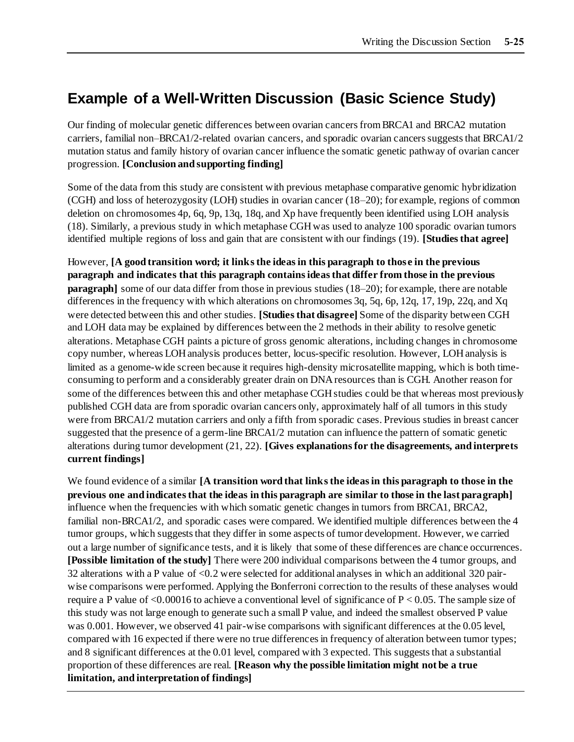## **Example of a Well-Written Discussion (Basic Science Study)**

Our finding of molecular genetic differences between ovarian cancers from BRCA1 and BRCA2 mutation carriers, familial non–BRCA1/2-related ovarian cancers, and sporadic ovarian cancers suggests that BRCA1/2 mutation status and family history of ovarian cancer influence the somatic genetic pathway of ovarian cancer progression. **[Conclusion and supporting finding]**

Some of the data from this study are consistent with previous metaphase comparative genomic hybridization (CGH) and loss of heterozygosity (LOH) studies in ovarian cancer (18–20); for example, regions of common deletion on chromosomes 4p, 6q, 9p, 13q, 18q, and Xp have frequently been identified using LOH analysis (18). Similarly, a previous study in which metaphase CGH was used to analyze 100 sporadic ovarian tumors identified multiple regions of loss and gain that are consistent with our findings (19). **[Studies that agree]**

However, **[A good transition word; it links the ideas in this paragraph to those in the previous paragraph and indicates that this paragraph contains ideas that differ from those in the previous paragraph**] some of our data differ from those in previous studies (18–20); for example, there are notable differences in the frequency with which alterations on chromosomes 3q, 5q, 6p, 12q, 17, 19p, 22q, and Xq were detected between this and other studies. **[Studies that disagree]** Some of the disparity between CGH and LOH data may be explained by differences between the 2 methods in their ability to resolve genetic alterations. Metaphase CGH paints a picture of gross genomic alterations, including changes in chromosome copy number, whereas LOH analysis produces better, locus-specific resolution. However, LOH analysis is limited as a genome-wide screen because it requires high-density microsatellite mapping, which is both timeconsuming to perform and a considerably greater drain on DNA resources than is CGH. Another reason for some of the differences between this and other metaphase CGH studies could be that whereas most previously published CGH data are from sporadic ovarian cancers only, approximately half of all tumors in this study were from BRCA1/2 mutation carriers and only a fifth from sporadic cases. Previous studies in breast cancer suggested that the presence of a germ-line BRCA1/2 mutation can influence the pattern of somatic genetic alterations during tumor development (21, 22). **[Gives explanations for the disagreements, and interprets current findings]**

We found evidence of a similar **[A transition word that links the ideas in this paragraph to those in the previous one and indicates that the ideas in this paragraph are similar to those in the last paragraph]**  influence when the frequencies with which somatic genetic changes in tumors from BRCA1, BRCA2, familial non-BRCA1/2, and sporadic cases were compared. We identified multiple differences between the 4 tumor groups, which suggests that they differ in some aspects of tumor development. However, we carried out a large number of significance tests, and it is likely that some of these differences are chance occurrences. **[Possible limitation of the study]** There were 200 individual comparisons between the 4 tumor groups, and 32 alterations with a P value of <0.2 were selected for additional analyses in which an additional 320 pairwise comparisons were performed. Applying the Bonferroni correction to the results of these analyses would require a P value of  $\leq 0.00016$  to achieve a conventional level of significance of P  $\leq 0.05$ . The sample size of this study was not large enough to generate such a small P value, and indeed the smallest observed P value was 0.001. However, we observed 41 pair-wise comparisons with significant differences at the 0.05 level, compared with 16 expected if there were no true differences in frequency of alteration between tumor types; and 8 significant differences at the 0.01 level, compared with 3 expected. This suggests that a substantial proportion of these differences are real. **[Reason why the possible limitation might not be a true limitation, and interpretation of findings]**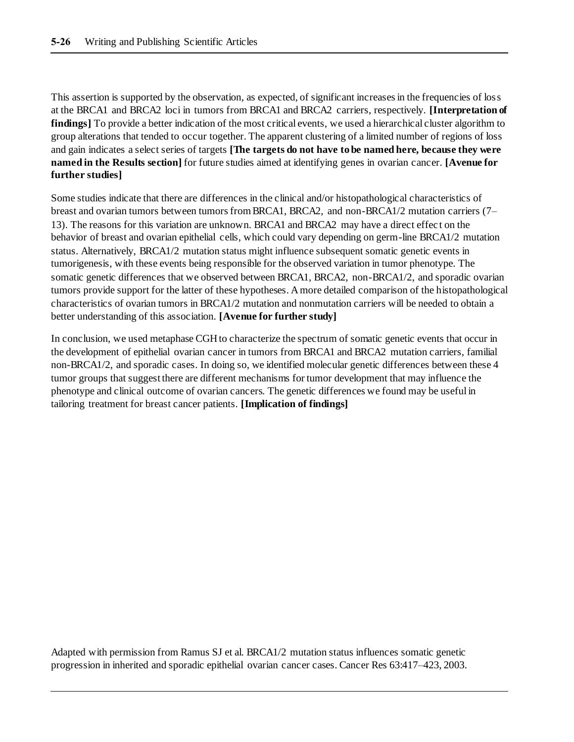This assertion is supported by the observation, as expected, of significant increases in the frequencies of loss at the BRCA1 and BRCA2 loci in tumors from BRCA1 and BRCA2 carriers, respectively. **[Interpretation of findings** To provide a better indication of the most critical events, we used a hierarchical cluster algorithm to group alterations that tended to occur together. The apparent clustering of a limited number of regions of loss and gain indicates a select series of targets **[The targets do not have to be named here, because they were named in the Results section]** for future studies aimed at identifying genes in ovarian cancer. **[Avenue for further studies]**

Some studies indicate that there are differences in the clinical and/or histopathological characteristics of breast and ovarian tumors between tumors from BRCA1, BRCA2, and non-BRCA1/2 mutation carriers (7– 13). The reasons for this variation are unknown. BRCA1 and BRCA2 may have a direct effec t on the behavior of breast and ovarian epithelial cells, which could vary depending on germ-line BRCA1/2 mutation status. Alternatively, BRCA1/2 mutation status might influence subsequent somatic genetic events in tumorigenesis, with these events being responsible for the observed variation in tumor phenotype. The somatic genetic differences that we observed between BRCA1, BRCA2, non-BRCA1/2, and sporadic ovarian tumors provide support for the latter of these hypotheses. A more detailed comparison of the histopathological characteristics of ovarian tumors in BRCA1/2 mutation and nonmutation carriers will be needed to obtain a better understanding of this association. **[Avenue for further study]**

In conclusion, we used metaphase CGH to characterize the spectrum of somatic genetic events that occur in the development of epithelial ovarian cancer in tumors from BRCA1 and BRCA2 mutation carriers, familial non-BRCA1/2, and sporadic cases. In doing so, we identified molecular genetic differences between these 4 tumor groups that suggest there are different mechanisms for tumor development that may influence the phenotype and clinical outcome of ovarian cancers. The genetic differences we found may be useful in tailoring treatment for breast cancer patients. **[Implication of findings]**

Adapted with permission from Ramus SJ et al. BRCA1/2 mutation status influences somatic genetic progression in inherited and sporadic epithelial ovarian cancer cases. Cancer Res 63:417–423, 2003.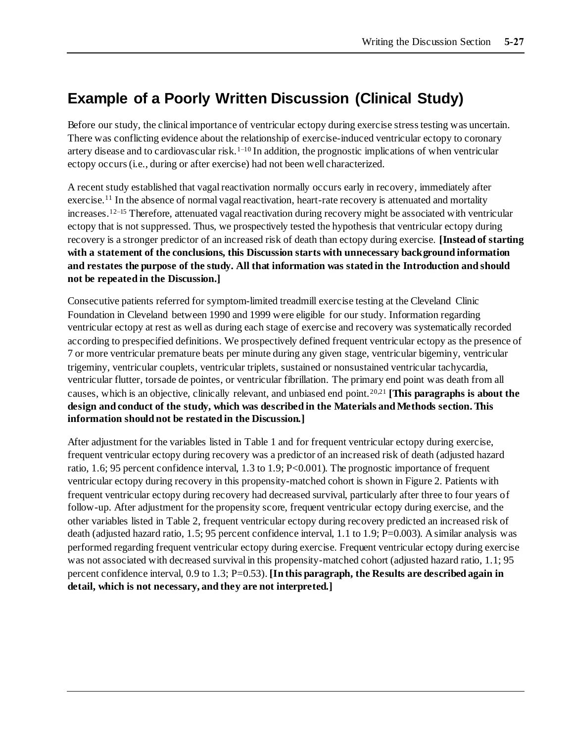## **Example of a Poorly Written Discussion (Clinical Study)**

Before our study, the clinical importance of ventricular ectopy during exercise stress testing was uncertain. There was conflicting evidence about the relationship of exercise-induced ventricular ectopy to coronary artery disease and to cardiovascular risk.<sup>1–10</sup> In addition, the prognostic implications of when ventricular ectopy occurs (i.e., during or after exercise) had not been well characterized.

A recent study established that vagal reactivation normally occurs early in recovery, immediately after exercise.<sup>11</sup> In the absence of normal vagal reactivation, heart-rate recovery is attenuated and mortality increases.12–15 Therefore, attenuated vagal reactivation during recovery might be associated with ventricular ectopy that is not suppressed. Thus, we prospectively tested the hypothesis that ventricular ectopy during recovery is a stronger predictor of an increased risk of death than ectopy during exercise. **[Instead of starting with a statement of the conclusions, this Discussion starts with unnecessary background information and restates the purpose of the study. All that information was stated in the Introduction and should not be repeated in the Discussion.]**

Consecutive patients referred for symptom-limited treadmill exercise testing at the Cleveland Clinic Foundation in Cleveland between 1990 and 1999 were eligible for our study. Information regarding ventricular ectopy at rest as well as during each stage of exercise and recovery was systematically recorded according to prespecified definitions. We prospectively defined frequent ventricular ectopy as the presence of 7 or more ventricular premature beats per minute during any given stage, ventricular bigeminy, ventricular trigeminy, ventricular couplets, ventricular triplets, sustained or nonsustained ventricular tachycardia, ventricular flutter, torsade de pointes, or ventricular fibrillation. The primary end point was death from all causes, which is an objective, clinically relevant, and unbiased end point.20,21 **[This paragraphs is about the design and conduct of the study, which was described in the Materials and Methods section. This information should not be restated in the Discussion.]**

After adjustment for the variables listed in Table 1 and for frequent ventricular ectopy during exercise, frequent ventricular ectopy during recovery was a predictor of an increased risk of death (adjusted hazard ratio, 1.6; 95 percent confidence interval, 1.3 to 1.9; P<0.001). The prognostic importance of frequent ventricular ectopy during recovery in this propensity-matched cohort is shown in Figure 2. Patients with frequent ventricular ectopy during recovery had decreased survival, particularly after three to four years of follow-up. After adjustment for the propensity score, frequent ventricular ectopy during exercise, and the other variables listed in Table 2, frequent ventricular ectopy during recovery predicted an increased risk of death (adjusted hazard ratio, 1.5; 95 percent confidence interval, 1.1 to 1.9; P=0.003). A similar analysis was performed regarding frequent ventricular ectopy during exercise. Frequent ventricular ectopy during exercise was not associated with decreased survival in this propensity-matched cohort (adjusted hazard ratio, 1.1; 95 percent confidence interval, 0.9 to 1.3; P=0.53). **[In this paragraph, the Results are described again in detail, which is not necessary, and they are not interpreted.]**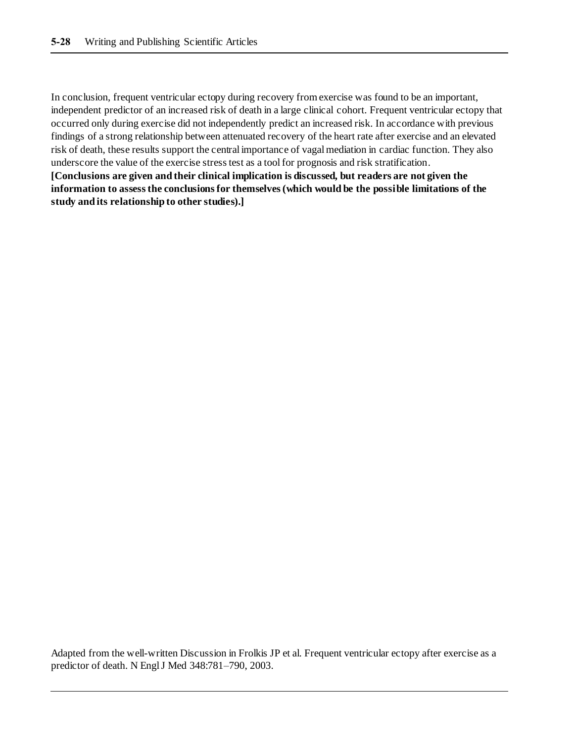In conclusion, frequent ventricular ectopy during recovery from exercise was found to be an important, independent predictor of an increased risk of death in a large clinical cohort. Frequent ventricular ectopy that occurred only during exercise did not independently predict an increased risk. In accordance with previous findings of a strong relationship between attenuated recovery of the heart rate after exercise and an elevated risk of death, these results support the central importance of vagal mediation in cardiac function. They also underscore the value of the exercise stress test as a tool for prognosis and risk stratification.

**[Conclusions are given and their clinical implication is discussed, but readers are not given the information to assess the conclusions for themselves (which would be the possible limitations of the study and its relationship to other studies).]**

Adapted from the well-written Discussion in Frolkis JP et al. Frequent ventricular ectopy after exercise as a predictor of death. N Engl J Med 348:781–790, 2003.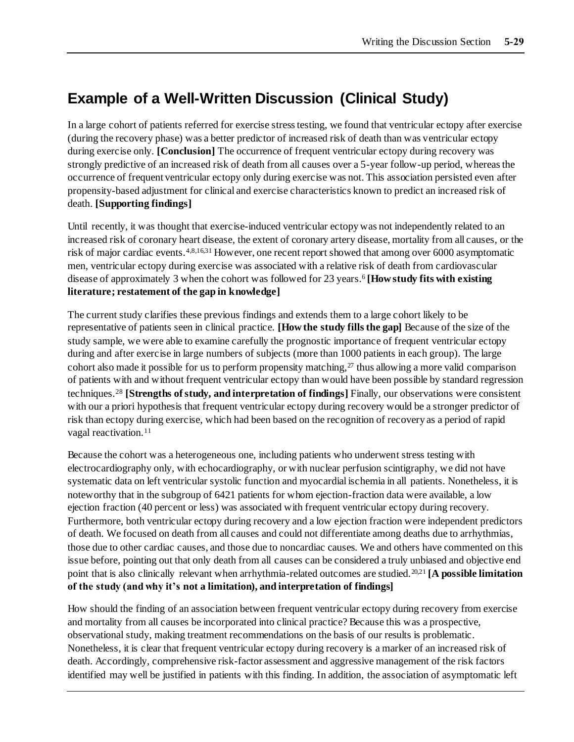## **Example of a Well-Written Discussion (Clinical Study)**

In a large cohort of patients referred for exercise stress testing, we found that ventricular ectopy after exercise (during the recovery phase) was a better predictor of increased risk of death than was ventricular ectopy during exercise only. **[Conclusion]** The occurrence of frequent ventricular ectopy during recovery was strongly predictive of an increased risk of death from all causes over a 5-year follow-up period, whereas the occurrence of frequent ventricular ectopy only during exercise was not. This association persisted even after propensity-based adjustment for clinical and exercise characteristics known to predict an increased risk of death. **[Supporting findings]**

Until recently, it was thought that exercise-induced ventricular ectopy was not independently related to an increased risk of coronary heart disease, the extent of coronary artery disease, mortality from all causes, or the risk of major cardiac events.4,8,16,31 However, one recent report showed that among over 6000 asymptomatic men, ventricular ectopy during exercise was associated with a relative risk of death from cardiovascular disease of approximately 3 when the cohort was followed for 23 years.<sup>6</sup> [How study fits with existing **literature; restatement of the gap in knowledge]**

The current study clarifies these previous findings and extends them to a large cohort likely to be representative of patients seen in clinical practice. **[How the study fills the gap]** Because of the size of the study sample, we were able to examine carefully the prognostic importance of frequent ventricular ectopy during and after exercise in large numbers of subjects (more than 1000 patients in each group). The large cohort also made it possible for us to perform propensity matching,  $27$  thus allowing a more valid comparison of patients with and without frequent ventricular ectopy than would have been possible by standard regression techniques.<sup>28</sup> **[Strengths of study, and interpretation of findings]** Finally, our observations were consistent with our a priori hypothesis that frequent ventricular ectopy during recovery would be a stronger predictor of risk than ectopy during exercise, which had been based on the recognition of recovery as a period of rapid vagal reactivation.<sup>11</sup>

Because the cohort was a heterogeneous one, including patients who underwent stress testing with electrocardiography only, with echocardiography, or with nuclear perfusion scintigraphy, we did not have systematic data on left ventricular systolic function and myocardial ischemia in all patients. Nonetheless, it is noteworthy that in the subgroup of 6421 patients for whom ejection-fraction data were available, a low ejection fraction (40 percent or less) was associated with frequent ventricular ectopy during recovery. Furthermore, both ventricular ectopy during recovery and a low ejection fraction were independent predictors of death. We focused on death from all causes and could not differentiate among deaths due to arrhythmias, those due to other cardiac causes, and those due to noncardiac causes. We and others have commented on this issue before, pointing out that only death from all causes can be considered a truly unbiased and objective end point that is also clinically relevant when arrhythmia-related outcomes are studied.<sup>20,21</sup> [A possible limitation **of the study (and why it's not a limitation), and interpretation of findings]**

How should the finding of an association between frequent ventricular ectopy during recovery from exercise and mortality from all causes be incorporated into clinical practice? Because this was a prospective, observational study, making treatment recommendations on the basis of our results is problematic. Nonetheless, it is clear that frequent ventricular ectopy during recovery is a marker of an increased risk of death. Accordingly, comprehensive risk-factor assessment and aggressive management of the risk factors identified may well be justified in patients with this finding. In addition, the association of asymptomatic left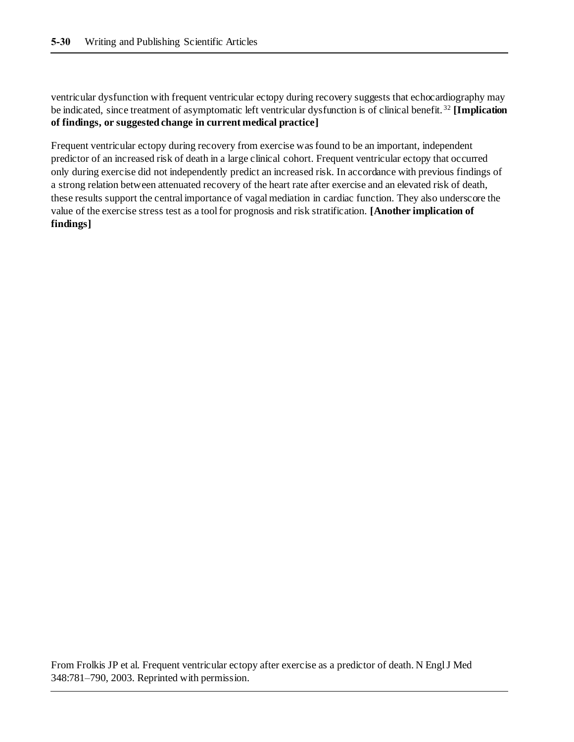ventricular dysfunction with frequent ventricular ectopy during recovery suggests that echocardiography may be indicated, since treatment of asymptomatic left ventricular dysfunction is of clinical benefit. <sup>32</sup> **[Implication of findings, or suggested change in current medical practice]**

Frequent ventricular ectopy during recovery from exercise was found to be an important, independent predictor of an increased risk of death in a large clinical cohort. Frequent ventricular ectopy that occurred only during exercise did not independently predict an increased risk. In accordance with previous findings of a strong relation between attenuated recovery of the heart rate after exercise and an elevated risk of death, these results support the central importance of vagal mediation in cardiac function. They also underscore the value of the exercise stress test as a tool for prognosis and risk stratification. **[Another implication of findings]**

From Frolkis JP et al. Frequent ventricular ectopy after exercise as a predictor of death. N Engl J Med 348:781–790, 2003. Reprinted with permission.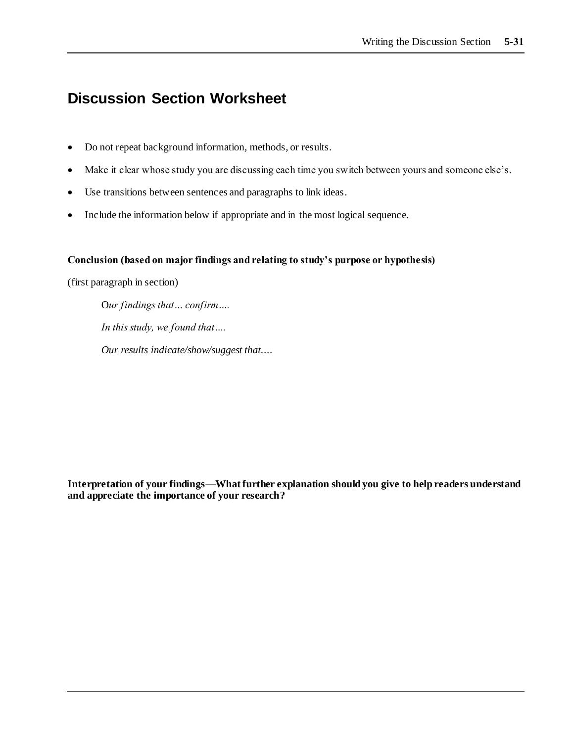### **Discussion Section Worksheet**

- Do not repeat background information, methods, or results.
- Make it clear whose study you are discussing each time you switch between yours and someone else's.
- Use transitions between sentences and paragraphs to link ideas.
- Include the information below if appropriate and in the most logical sequence.

#### **Conclusion (based on major findings and relating to study's purpose or hypothesis)**

(first paragraph in section)

O*ur findings that… confirm…. In this study, we found that…. Our results indicate/show/suggest that....*

**Interpretation of your findings—What further explanation should you give to help readers understand and appreciate the importance of your research?**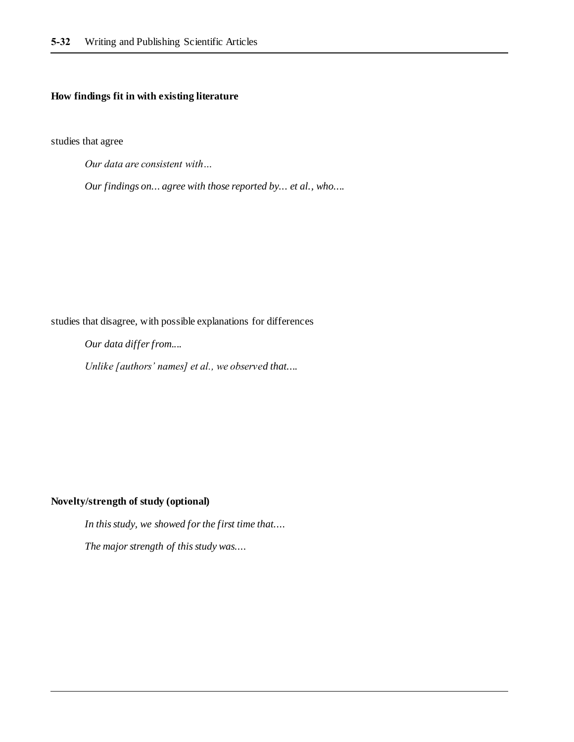#### **How findings fit in with existing literature**

studies that agree

*Our data are consistent with…* 

*Our findings on... agree with those reported by... et al., who....*

studies that disagree, with possible explanations for differences

*Our data differ from....*

*Unlike [authors' names] et al., we observed that....*

#### **Novelty/strength of study (optional)**

*In this study, we showed for the first time that....*

*The major strength of this study was....*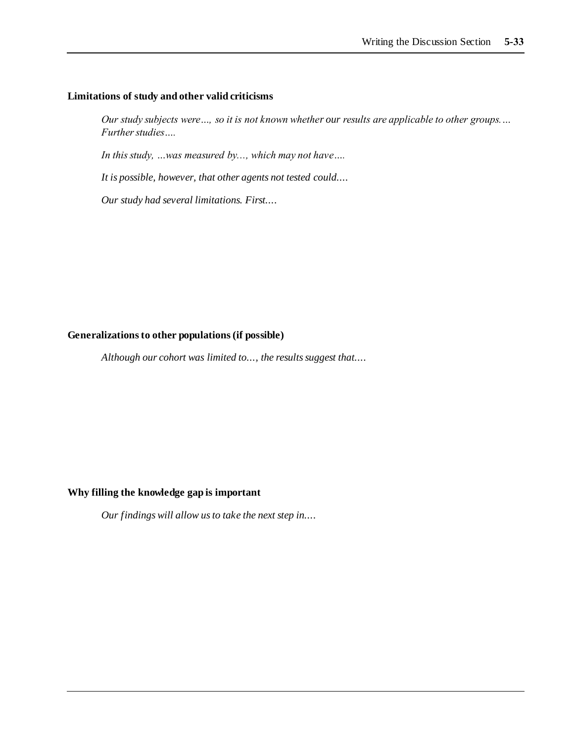#### **Limitations of study and other valid criticisms**

*Our study subjects were…, so it is not known whether our results are applicable to other groups.… Further studies….*

*In this study, …was measured by..., which may not have….*

*It is possible, however, that other agents not tested could....*

*Our study had several limitations. First....*

#### **Generalizations to other populations (if possible)**

*Although our cohort was limited to..., the results suggest that....*

#### **Why filling the knowledge gap is important**

*Our findings will allow us to take the next step in....*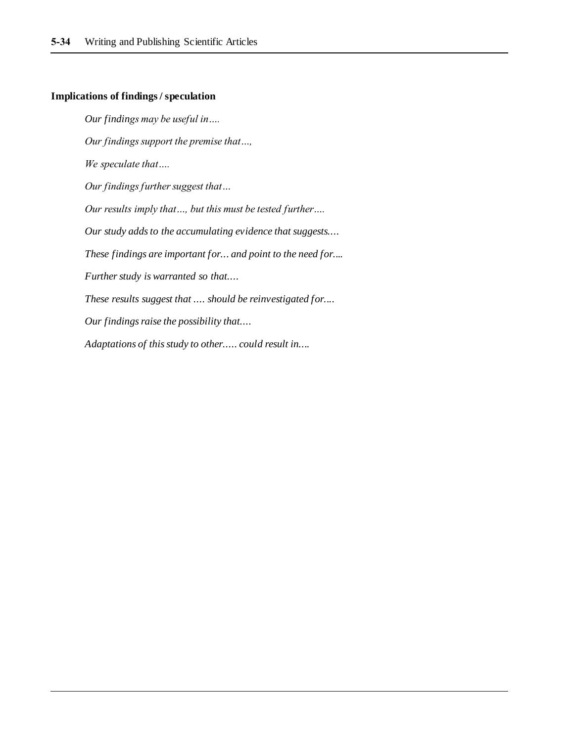#### **Implications of findings / speculation**

*Our findings may be useful in…. Our findings support the premise that…, We speculate that…. Our findings further suggest that… Our results imply that…, but this must be tested further…. Our study adds to the accumulating evidence that suggests.... These findings are important for... and point to the need for.... Further study is warranted so that.... These results suggest that .... should be reinvestigated for.... Our findings raise the possibility that.... Adaptations of this study to other..... could result in....*